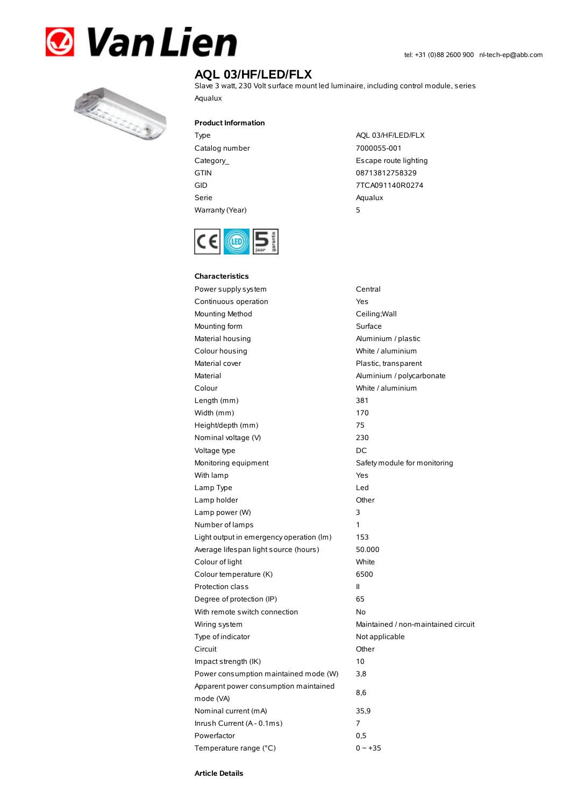



## **AQL 03/HF/LED/FLX**

Slave 3 watt, 230 Volt surface mount led luminaire, including control module, series Aqualux

**Product Information**

- Type AQL 03/HF/LED/FLX Catalog number 7000055-001 GTIN 08713812758329 Serie Aqualux Warranty(Year) 5
- Category\_ example and the control of the Escape route lighting GID 7TCA091140R0274



| <b>Characteristics</b>                   |                                     |  |
|------------------------------------------|-------------------------------------|--|
| Power supply system                      | Central                             |  |
| Continuous operation                     | Yes                                 |  |
| Mounting Method                          | Ceiling; Wall                       |  |
| Mounting form                            | Surface                             |  |
| Material housing                         | Aluminium / plastic                 |  |
| Colour housing                           | White / aluminium                   |  |
| Material cover                           | Plastic, transparent                |  |
| Material                                 | Aluminium / polycarbonate           |  |
| Colour                                   | White / aluminium                   |  |
| Length (mm)                              | 381                                 |  |
| Width (mm)                               | 170                                 |  |
| Height/depth (mm)                        | 75                                  |  |
| Nominal voltage (V)                      | 230                                 |  |
| Voltage type                             | DC                                  |  |
| Monitoring equipment                     | Safety module for monitoring        |  |
| With lamp                                | Yes                                 |  |
| Lamp Type                                | Led                                 |  |
| Lamp holder                              | Other                               |  |
| Lamp power (W)                           | 3                                   |  |
| Number of lamps                          | 1                                   |  |
| Light output in emergency operation (Im) | 153                                 |  |
| Average lifespan light source (hours)    | 50.000                              |  |
| Colour of light                          | White                               |  |
| Colour temperature (K)                   | 6500                                |  |
| Protection class                         | Ш                                   |  |
| Degree of protection (IP)                | 65                                  |  |
| With remote switch connection            | No                                  |  |
| Wiring system                            | Maintained / non-maintained circuit |  |
| Type of indicator                        | Not applicable                      |  |
| Circuit                                  | Other                               |  |
| Impact strength (IK)                     | 10                                  |  |
| Power consumption maintained mode (W)    | 3,8                                 |  |
| Apparent power consumption maintained    |                                     |  |
| mode (VA)                                | 8,6                                 |  |
| Nominal current (mA)                     | 35,9                                |  |
| Inrush Current (A - 0.1ms)               | 7                                   |  |
| Powerfactor                              | 0,5                                 |  |
| Temperature range (°C)                   | $0 - +35$                           |  |

**Article Details**